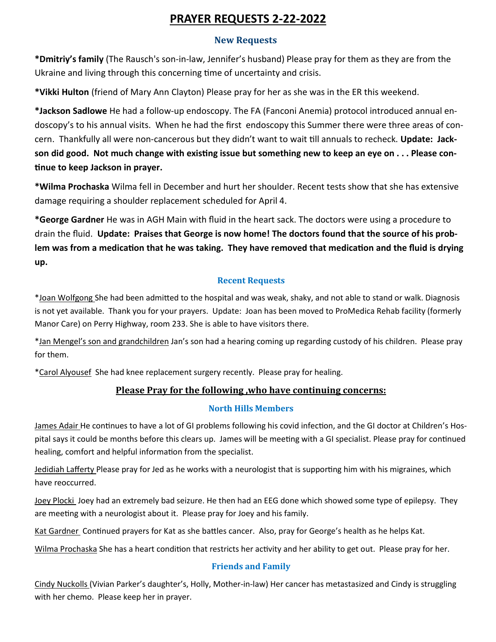# **PRAYER REQUESTS 2-22-2022**

#### **New Requests**

**\*Dmitriy's family** (The Rausch's son-in-law, Jennifer's husband) Please pray for them as they are from the Ukraine and living through this concerning time of uncertainty and crisis.

**\*Vikki Hulton** (friend of Mary Ann Clayton) Please pray for her as she was in the ER this weekend.

**\*Jackson Sadlowe** He had a follow-up endoscopy. The FA (Fanconi Anemia) protocol introduced annual endoscopy's to his annual visits. When he had the first endoscopy this Summer there were three areas of concern. Thankfully all were non-cancerous but they didn't want to wait till annuals to recheck. **Update: Jackson did good. Not much change with existing issue but something new to keep an eye on . . . Please continue to keep Jackson in prayer.** 

**\*Wilma Prochaska** Wilma fell in December and hurt her shoulder. Recent tests show that she has extensive damage requiring a shoulder replacement scheduled for April 4.

**\*George Gardner** He was in AGH Main with fluid in the heart sack. The doctors were using a procedure to drain the fluid. **Update: Praises that George is now home! The doctors found that the source of his problem was from a medication that he was taking. They have removed that medication and the fluid is drying up.** 

## **Recent Requests**

\*Joan Wolfgong She had been admitted to the hospital and was weak, shaky, and not able to stand or walk. Diagnosis is not yet available. Thank you for your prayers. Update: Joan has been moved to ProMedica Rehab facility (formerly Manor Care) on Perry Highway, room 233. She is able to have visitors there.

\*Jan Mengel's son and grandchildren Jan's son had a hearing coming up regarding custody of his children. Please pray for them.

\*Carol Alyousef She had knee replacement surgery recently. Please pray for healing.

## **Please Pray for the following ,who have continuing concerns:**

## **North Hills Members**

James Adair He continues to have a lot of GI problems following his covid infection, and the GI doctor at Children's Hospital says it could be months before this clears up. James will be meeting with a GI specialist. Please pray for continued healing, comfort and helpful information from the specialist.

Jedidiah Lafferty Please pray for Jed as he works with a neurologist that is supporting him with his migraines, which have reoccurred.

Joey Plocki Joey had an extremely bad seizure. He then had an EEG done which showed some type of epilepsy. They are meeting with a neurologist about it. Please pray for Joey and his family.

Kat Gardner Continued prayers for Kat as she battles cancer. Also, pray for George's health as he helps Kat.

Wilma Prochaska She has a heart condition that restricts her activity and her ability to get out. Please pray for her.

## **Friends and Family**

Cindy Nuckolls (Vivian Parker's daughter's, Holly, Mother-in-law) Her cancer has metastasized and Cindy is struggling with her chemo. Please keep her in prayer.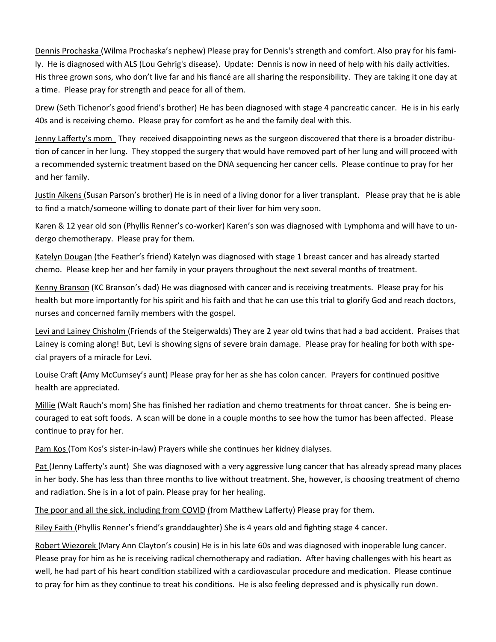Dennis Prochaska (Wilma Prochaska's nephew) Please pray for Dennis's strength and comfort. Also pray for his family. He is diagnosed with ALS (Lou Gehrig's disease). Update: Dennis is now in need of help with his daily activities. His three grown sons, who don't live far and his fiancé are all sharing the responsibility. They are taking it one day at a time. Please pray for strength and peace for all of them.

Drew (Seth Tichenor's good friend's brother) He has been diagnosed with stage 4 pancreatic cancer. He is in his early 40s and is receiving chemo. Please pray for comfort as he and the family deal with this.

Jenny Lafferty's mom They received disappointing news as the surgeon discovered that there is a broader distribution of cancer in her lung. They stopped the surgery that would have removed part of her lung and will proceed with a recommended systemic treatment based on the DNA sequencing her cancer cells. Please continue to pray for her and her family.

Justin Aikens (Susan Parson's brother) He is in need of a living donor for a liver transplant. Please pray that he is able to find a match/someone willing to donate part of their liver for him very soon.

Karen & 12 year old son (Phyllis Renner's co-worker) Karen's son was diagnosed with Lymphoma and will have to undergo chemotherapy. Please pray for them.

Katelyn Dougan (the Feather's friend) Katelyn was diagnosed with stage 1 breast cancer and has already started chemo. Please keep her and her family in your prayers throughout the next several months of treatment.

Kenny Branson (KC Branson's dad) He was diagnosed with cancer and is receiving treatments. Please pray for his health but more importantly for his spirit and his faith and that he can use this trial to glorify God and reach doctors, nurses and concerned family members with the gospel.

Levi and Lainey Chisholm (Friends of the Steigerwalds) They are 2 year old twins that had a bad accident. Praises that Lainey is coming along! But, Levi is showing signs of severe brain damage. Please pray for healing for both with special prayers of a miracle for Levi.

Louise Craft **(**Amy McCumsey's aunt) Please pray for her as she has colon cancer. Prayers for continued positive health are appreciated.

Millie (Walt Rauch's mom) She has finished her radiation and chemo treatments for throat cancer. She is being encouraged to eat soft foods. A scan will be done in a couple months to see how the tumor has been affected. Please continue to pray for her.

Pam Kos (Tom Kos's sister-in-law) Prayers while she continues her kidney dialyses.

Pat (Jenny Lafferty's aunt) She was diagnosed with a very aggressive lung cancer that has already spread many places in her body. She has less than three months to live without treatment. She, however, is choosing treatment of chemo and radiation. She is in a lot of pain. Please pray for her healing.

The poor and all the sick, including from COVID (from Matthew Lafferty) Please pray for them.

Riley Faith (Phyllis Renner's friend's granddaughter) She is 4 years old and fighting stage 4 cancer.

Robert Wiezorek (Mary Ann Clayton's cousin) He is in his late 60s and was diagnosed with inoperable lung cancer. Please pray for him as he is receiving radical chemotherapy and radiation. After having challenges with his heart as well, he had part of his heart condition stabilized with a cardiovascular procedure and medication. Please continue to pray for him as they continue to treat his conditions. He is also feeling depressed and is physically run down.